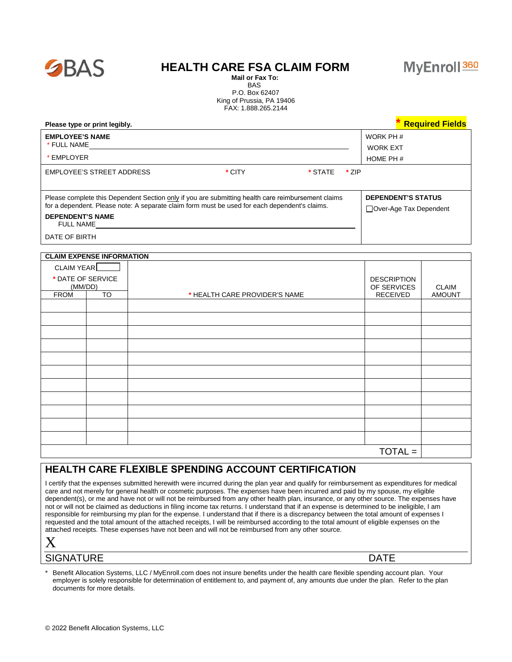

## **HEALTH CARE FSA CLAIM FORM**



 BAS P.O. Box 62407 King of Prussia, PA 19406 FAX: 1.888.265.2144

| Please type or print legibly.                                                                                                                                                                                                                      | <b>Required Fields</b>                               |
|----------------------------------------------------------------------------------------------------------------------------------------------------------------------------------------------------------------------------------------------------|------------------------------------------------------|
| <b>EMPLOYEE'S NAME</b><br>* FULL NAME                                                                                                                                                                                                              | WORK PH #<br><b>WORK EXT</b>                         |
| * EMPLOYER                                                                                                                                                                                                                                         | HOME PH $#$                                          |
| EMPLOYEE'S STREET ADDRESS<br>* CITY<br>* STATE<br>→ 7IP                                                                                                                                                                                            |                                                      |
| Please complete this Dependent Section only if you are submitting health care reimbursement claims<br>for a dependent. Please note: A separate claim form must be used for each dependent's claims.<br><b>DEPENDENT'S NAME</b><br><b>FULL NAME</b> | <b>DEPENDENT'S STATUS</b><br>□Over-Age Tax Dependent |
| DATE OF BIRTH                                                                                                                                                                                                                                      |                                                      |

## **CLAIM EXPENSE INFORMATION**

| CLAIM YEAR        |                 |                               |                    |               |
|-------------------|-----------------|-------------------------------|--------------------|---------------|
| * DATE OF SERVICE |                 |                               | <b>DESCRIPTION</b> |               |
| (MM/DD)           |                 |                               | OF SERVICES        | <b>CLAIM</b>  |
| <b>FROM</b>       | $\overline{10}$ | * HEALTH CARE PROVIDER'S NAME | <b>RECEIVED</b>    | <b>AMOUNT</b> |
|                   |                 |                               |                    |               |
|                   |                 |                               |                    |               |
|                   |                 |                               |                    |               |
|                   |                 |                               |                    |               |
|                   |                 |                               |                    |               |
|                   |                 |                               |                    |               |
|                   |                 |                               |                    |               |
|                   |                 |                               |                    |               |
|                   |                 |                               |                    |               |
|                   |                 |                               |                    |               |
|                   |                 |                               |                    |               |
| $TOTAL =$         |                 |                               |                    |               |

## **HEALTH CARE FLEXIBLE SPENDING ACCOUNT CERTIFICATION**

I certify that the expenses submitted herewith were incurred during the plan year and qualify for reimbursement as expenditures for medical care and not merely for general health or cosmetic purposes. The expenses have been incurred and paid by my spouse, my eligible dependent(s), or me and have not or will not be reimbursed from any other health plan, insurance, or any other source. The expenses have not or will not be claimed as deductions in filing income tax returns. I understand that if an expense is determined to be ineligible, I am responsible for reimbursing my plan for the expense. I understand that if there is a discrepancy between the total amount of expenses I requested and the total amount of the attached receipts, I will be reimbursed according to the total amount of eligible expenses on the attached receipts. These expenses have not been and will not be reimbursed from any other source.

SIGNATURE DATE

Benefit Allocation Systems, LLC / MyEnroll.com does not insure benefits under the health care flexible spending account plan. Your employer is solely responsible for determination of entitlement to, and payment of, any amounts due under the plan. Refer to the plan documents for more details.